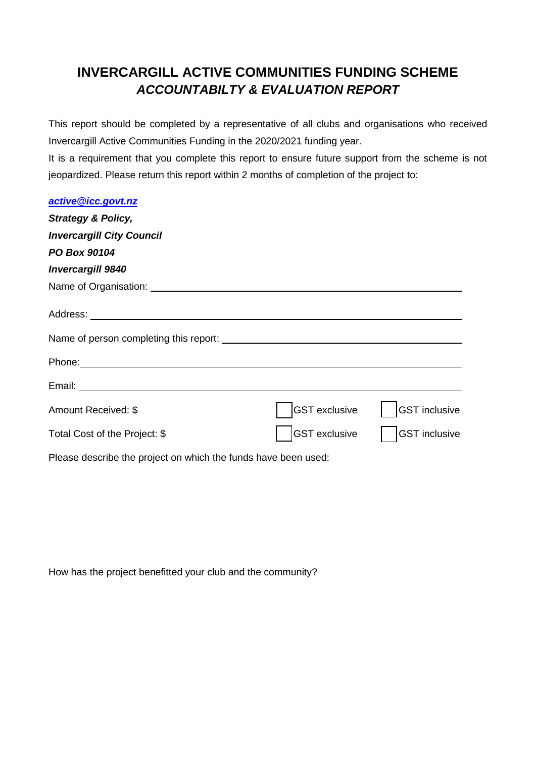## **INVERCARGILL ACTIVE COMMUNITIES FUNDING SCHEME** *ACCOUNTABILTY & EVALUATION REPORT*

This report should be completed by a representative of all clubs and organisations who received Invercargill Active Communities Funding in the 2020/2021 funding year.

It is a requirement that you complete this report to ensure future support from the scheme is not jeopardized. Please return this report within 2 months of completion of the project to:

| active@icc.govt.nz                                             |                      |                      |
|----------------------------------------------------------------|----------------------|----------------------|
| <b>Strategy &amp; Policy,</b>                                  |                      |                      |
| <b>Invercargill City Council</b>                               |                      |                      |
| PO Box 90104                                                   |                      |                      |
| <b>Invercargill 9840</b>                                       |                      |                      |
|                                                                |                      |                      |
|                                                                |                      |                      |
|                                                                |                      |                      |
|                                                                |                      |                      |
|                                                                |                      |                      |
| Amount Received: \$                                            | <b>GST</b> exclusive | <b>GST</b> inclusive |
| Total Cost of the Project: \$                                  | <b>GST</b> exclusive | <b>GST</b> inclusive |
| Please describe the project on which the funds have been used: |                      |                      |

How has the project benefitted your club and the community?